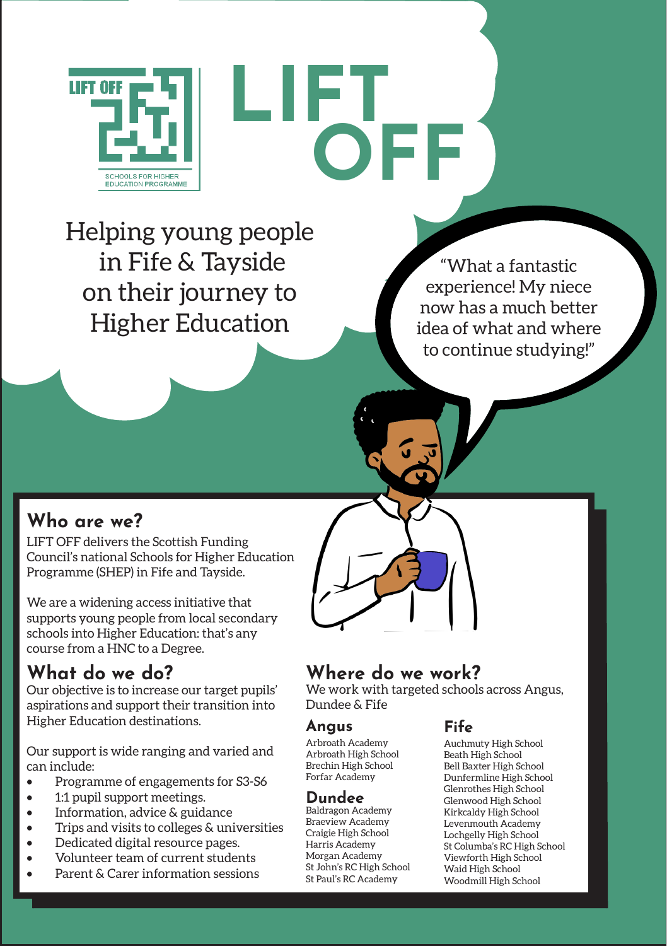

# **LIFT OFF**

Helping young people in Fife & Tayside on their journey to Higher Education

"What a fantastic experience! My niece now has a much better idea of what and where to continue studying!"

#### **Who are we?**

LIFT OFF delivers the Scottish Funding Council's national Schools for Higher Education Programme (SHEP) in Fife and Tayside.

We are a widening access initiative that supports young people from local secondary schools into Higher Education: that's any course from a HNC to a Degree.

#### **What do we do?**

Our objective is to increase our target pupils' aspirations and support their transition into Higher Education destinations.

Our support is wide ranging and varied and can include:

- Programme of engagements for S3-S6
- 1:1 pupil support meetings.
- Information, advice & guidance
- Trips and visits to colleges & universities
- Dedicated digital resource pages.
- Volunteer team of current students
- Parent & Carer information sessions

### **Where do we work?**

We work with targeted schools across Angus, Dundee & Fife

#### **Angus**

Arbroath Academy Arbroath High School Brechin High School Forfar Academy

#### **Dundee**

Baldragon Academy Braeview Academy Craigie High School Harris Academy Morgan Academy St John's RC High School St Paul's RC Academy

#### **Fife**

Auchmuty High School Beath High School Bell Baxter High School Dunfermline High School Glenrothes High School Glenwood High School Kirkcaldy High School Levenmouth Academy Lochgelly High School St Columba's RC High School Viewforth High School Waid High School Woodmill High School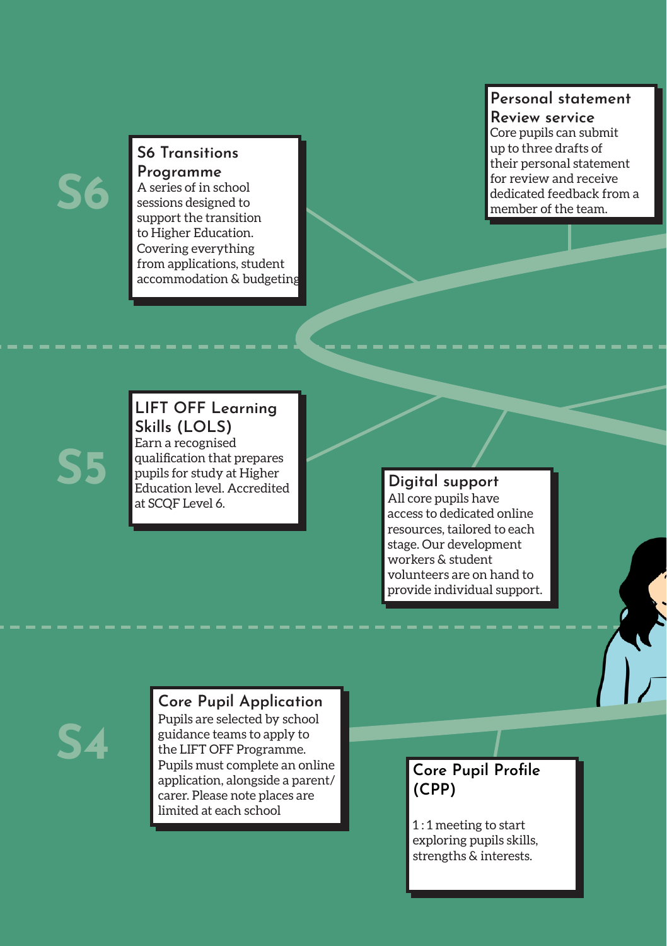## **S6**

#### **S6 Transitions Programme**

A series of in school sessions designed to support the transition to Higher Education. Covering everything from applications, student accommodation & budgeting!

#### **Personal statement Review service**

Core pupils can submit up to three drafts of their personal statement for review and receive dedicated feedback from a member of the team.

### **S5**

#### **LIFT OFF Learning Skills (LOLS)**  Earn a recognised qualification that prepares pupils for study at Higher Education level. Accredited at SCQF Level 6.

#### **Digital support**

All core pupils have access to dedicated online resources, tailored to each stage. Our development workers & student volunteers are on hand to provide individual support.

**S4**

#### **Core Pupil Application** Pupils are selected by school

guidance teams to apply to the LIFT OFF Programme. Pupils must complete an online application, alongside a parent/ carer. Please note places are limited at each school

#### **Core Pupil Profile (CPP)**

1 : 1 meeting to start exploring pupils skills, strengths & interests.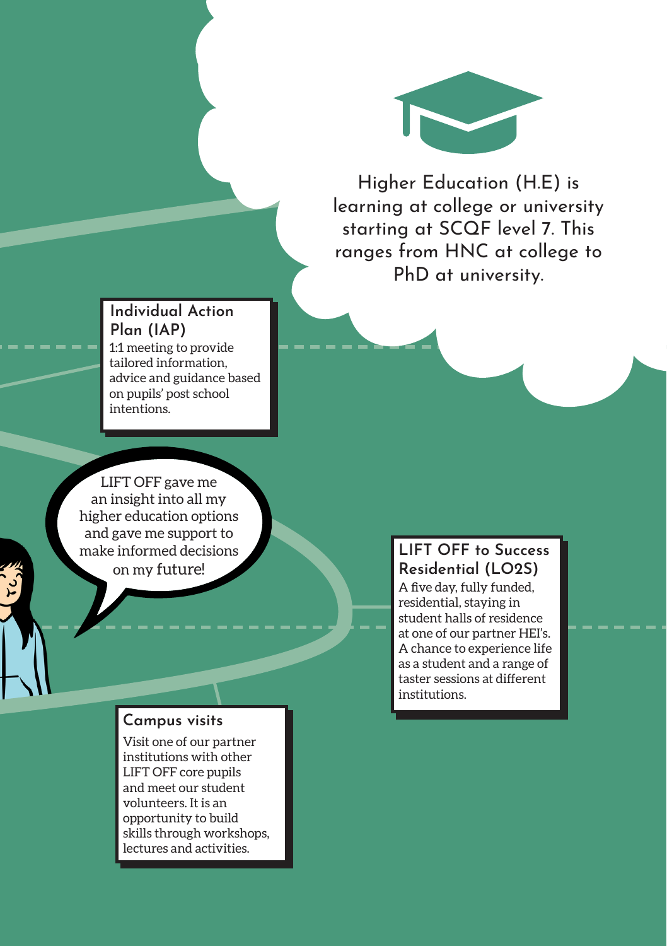

Higher Education (H.E) is learning at college or university starting at SCQF level 7. This ranges from HNC at college to PhD at university.

#### **Individual Action Plan (IAP)**

1:1 meeting to provide tailored information, advice and guidance based on pupils' post school intentions.

LIFT OFF gave me an insight into all my higher education options and gave me support to make informed decisions on my future!

#### **Campus visits**

Visit one of our partner institutions with other LIFT OFF core pupils and meet our student volunteers. It is an opportunity to build skills through workshops, lectures and activities.

#### **LIFT OFF to Success Residential (LO2S)**

A five day, fully funded, residential, staying in student halls of residence at one of our partner HEI's. A chance to experience life as a student and a range of taster sessions at different institutions.